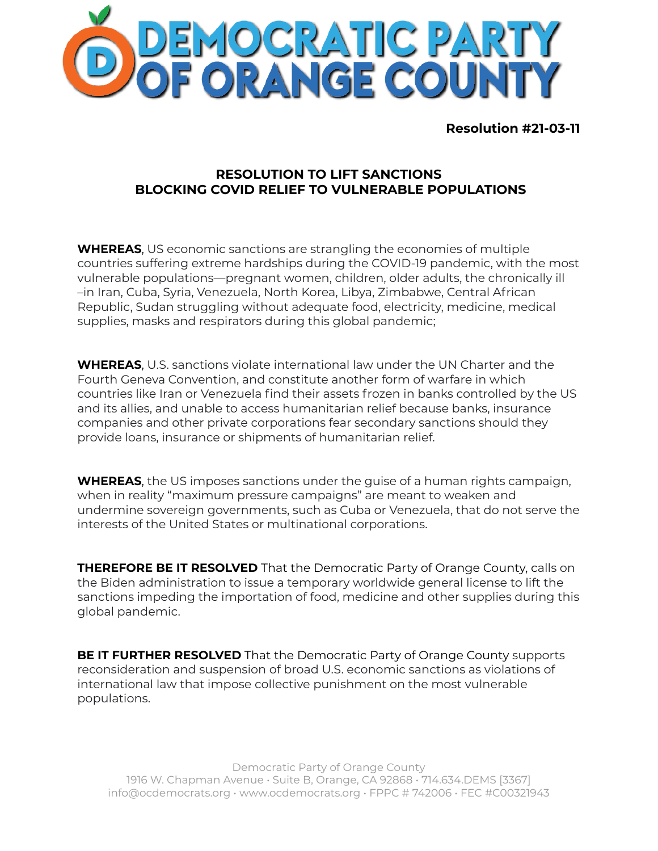

**Resolution #21-03-11**

## **RESOLUTION TO LIFT SANCTIONS BLOCKING COVID RELIEF TO VULNERABLE POPULATIONS**

**WHEREAS**, US economic sanctions are strangling the economies of multiple countries suffering extreme hardships during the COVID-19 pandemic, with the most vulnerable populations—pregnant women, children, older adults, the chronically ill –in Iran, Cuba, Syria, Venezuela, North Korea, Libya, Zimbabwe, Central African Republic, Sudan struggling without adequate food, electricity, medicine, medical supplies, masks and respirators during this global pandemic;

**WHEREAS**, U.S. sanctions violate international law under the UN Charter and the Fourth Geneva Convention, and constitute another form of warfare in which countries like Iran or Venezuela find their assets frozen in banks controlled by the US and its allies, and unable to access humanitarian relief because banks, insurance companies and other private corporations fear secondary sanctions should they provide loans, insurance or shipments of humanitarian relief.

**WHEREAS**, the US imposes sanctions under the guise of a human rights campaign, when in reality "maximum pressure campaigns" are meant to weaken and undermine sovereign governments, such as Cuba or Venezuela, that do not serve the interests of the United States or multinational corporations.

**THEREFORE BE IT RESOLVED** That the Democratic Party of Orange County, calls on the Biden administration to issue a temporary worldwide general license to lift the sanctions impeding the importation of food, medicine and other supplies during this global pandemic.

**BE IT FURTHER RESOLVED** That the Democratic Party of Orange County supports reconsideration and suspension of broad U.S. economic sanctions as violations of international law that impose collective punishment on the most vulnerable populations.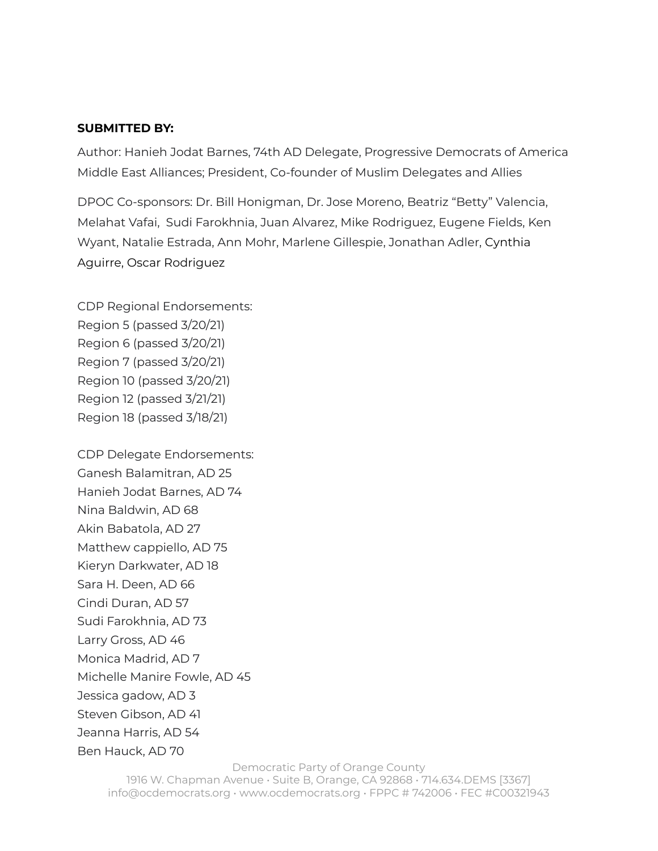## **SUBMITTED BY:**

Author: Hanieh Jodat Barnes, 74th AD Delegate, Progressive Democrats of America Middle East Alliances; President, Co-founder of Muslim Delegates and Allies

DPOC Co-sponsors: Dr. Bill Honigman, Dr. Jose Moreno, Beatriz "Betty" Valencia, Melahat Vafai, Sudi Farokhnia, Juan Alvarez, Mike Rodriguez, Eugene Fields, Ken Wyant, Natalie Estrada, Ann Mohr, Marlene Gillespie, Jonathan Adler, Cynthia Aguirre, Oscar Rodriguez

CDP Regional Endorsements: Region 5 (passed 3/20/21) Region 6 (passed 3/20/21) Region 7 (passed 3/20/21) Region 10 (passed 3/20/21) Region 12 (passed 3/21/21) Region 18 (passed 3/18/21)

CDP Delegate Endorsements: Ganesh Balamitran, AD 25 Hanieh Jodat Barnes, AD 74 Nina Baldwin, AD 68 Akin Babatola, AD 27 Matthew cappiello, AD 75 Kieryn Darkwater, AD 18 Sara H. Deen, AD 66 Cindi Duran, AD 57 Sudi Farokhnia, AD 73 Larry Gross, AD 46 Monica Madrid, AD 7 Michelle Manire Fowle, AD 45 Jessica gadow, AD 3 Steven Gibson, AD 41 Jeanna Harris, AD 54 Ben Hauck, AD 70

> Democratic Party of Orange County 1916 W. Chapman Avenue • Suite B, Orange, CA 92868 • 714.634.DEMS [3367] info@ocdemocrats.org • www.ocdemocrats.org • FPPC # 742006 • FEC #C00321943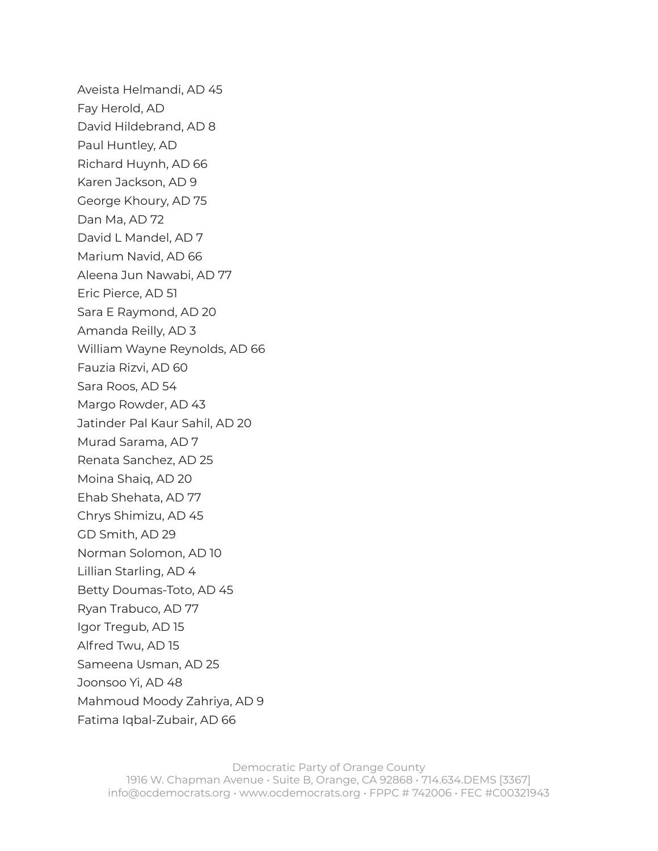Aveista Helmandi, AD 45 Fay Herold, AD David Hildebrand, AD 8 Paul Huntley, AD Richard Huynh, AD 66 Karen Jackson, AD 9 George Khoury, AD 75 Dan Ma, AD 72 David L Mandel, AD 7 Marium Navid, AD 66 Aleena Jun Nawabi, AD 77 Eric Pierce, AD 51 Sara E Raymond, AD 20 Amanda Reilly, AD 3 William Wayne Reynolds, AD 66 Fauzia Rizvi, AD 60 Sara Roos, AD 54 Margo Rowder, AD 43 Jatinder Pal Kaur Sahil, AD 20 Murad Sarama, AD 7 Renata Sanchez, AD 25 Moina Shaiq, AD 20 Ehab Shehata, AD 77 Chrys Shimizu, AD 45 GD Smith, AD 29 Norman Solomon, AD 10 Lillian Starling, AD 4 Betty Doumas-Toto, AD 45 Ryan Trabuco, AD 77 Igor Tregub, AD 15 Alfred Twu, AD 15 Sameena Usman, AD 25 Joonsoo Yi, AD 48 Mahmoud Moody Zahriya, AD 9 Fatima Iqbal-Zubair, AD 66